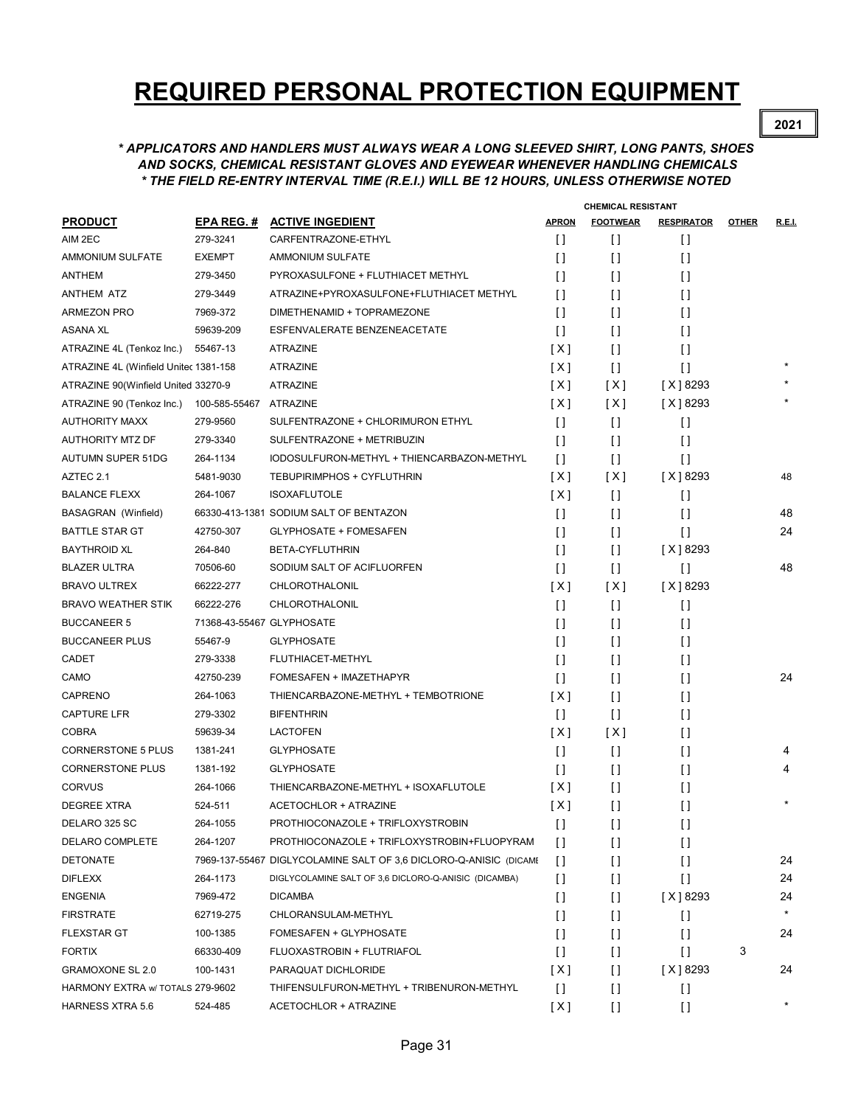# REQUIRED PERSONAL PROTECTION EQUIPMENT

### \* APPLICATORS AND HANDLERS MUST ALWAYS WEAR A LONG SLEEVED SHIRT, LONG PANTS, SHOES AND SOCKS, CHEMICAL RESISTANT GLOVES AND EYEWEAR WHENEVER HANDLING CHEMICALS \* THE FIELD RE-ENTRY INTERVAL TIME (R.E.I.) WILL BE 12 HOURS, UNLESS OTHERWISE NOTED MIRT, LONG PANTS, SHOES<br>R HANDLING CHEMICALS<br>ESS OTHERWISE NOTED<br>CHEMICAL RESISTANT

|                                       |                           |                                                                   |                      | <b>CHEMICAL RESISTANT</b> |                   |              |               |
|---------------------------------------|---------------------------|-------------------------------------------------------------------|----------------------|---------------------------|-------------------|--------------|---------------|
| <b>PRODUCT</b>                        | EPA REG. #                | <b>ACTIVE INGEDIENT</b>                                           | <b>APRON</b>         | <b>FOOTWEAR</b>           | <b>RESPIRATOR</b> | <b>OTHER</b> | <u>R.E.I.</u> |
| AIM 2EC                               | 279-3241                  | CARFENTRAZONE-ETHYL                                               | $[ \ ]$              | H                         | $\mathfrak{g}$    |              |               |
| AMMONIUM SULFATE                      | <b>EXEMPT</b>             | AMMONIUM SULFATE                                                  | $\Box$               | IJ                        | $\mathfrak l$     |              |               |
| <b>ANTHEM</b>                         | 279-3450                  | PYROXASULFONE + FLUTHIACET METHYL                                 | $\Box$               | I)                        | $\mathfrak{g}$    |              |               |
| <b>ANTHEM ATZ</b>                     | 279-3449                  | ATRAZINE+PYROXASULFONE+FLUTHIACET METHYL                          | $\Box$               | I)                        | $\mathfrak{g}$    |              |               |
| <b>ARMEZON PRO</b>                    | 7969-372                  | DIMETHENAMID + TOPRAMEZONE                                        | H                    | H                         | $[ \ ]$           |              |               |
| ASANA XL                              | 59639-209                 | ESFENVALERATE BENZENEACETATE                                      | $\Box$               | H                         | $\Box$            |              |               |
| ATRAZINE 4L (Tenkoz Inc.)             | 55467-13                  | <b>ATRAZINE</b>                                                   | [X]                  | H                         | $[ \ ]$           |              |               |
| ATRAZINE 4L (Winfield United 1381-158 |                           | <b>ATRAZINE</b>                                                   | [X]                  | $\mathfrak{g}$            | $\mathfrak{g}$    |              |               |
| ATRAZINE 90(Winfield United 33270-9   |                           | <b>ATRAZINE</b>                                                   | [X]                  | [X]                       | [X] 8293          |              |               |
| ATRAZINE 90 (Tenkoz Inc.)             | 100-585-55467 ATRAZINE    |                                                                   | [X]                  | [X]                       | [X] 8293          |              |               |
| <b>AUTHORITY MAXX</b>                 | 279-9560                  | SULFENTRAZONE + CHLORIMURON ETHYL                                 | $[ \ ]$              | H                         | $\mathfrak{g}$    |              |               |
| AUTHORITY MTZ DF                      | 279-3340                  | SULFENTRAZONE + METRIBUZIN                                        | I)                   | H                         | $\mathfrak l$     |              |               |
| <b>AUTUMN SUPER 51DG</b>              | 264-1134                  | IODOSULFURON-METHYL + THIENCARBAZON-METHYL                        | $[ \ ]$              | H                         | $[ \ ]$           |              |               |
| AZTEC 2.1                             | 5481-9030                 | TEBUPIRIMPHOS + CYFLUTHRIN                                        | [X]                  | [X]                       | [X] 8293          |              | 48            |
| <b>BALANCE FLEXX</b>                  | 264-1067                  | <b>ISOXAFLUTOLE</b>                                               | [X]                  | $\mathfrak{g}$            | $[ \ ]$           |              |               |
| BASAGRAN (Winfield)                   |                           | 66330-413-1381 SODIUM SALT OF BENTAZON                            | $[ \ ]$              | IJ                        | $[ \ ]$           |              | 48            |
| <b>BATTLE STAR GT</b>                 | 42750-307                 | <b>GLYPHOSATE + FOMESAFEN</b>                                     | $\Box$               | H                         | $\mathfrak{g}$    |              | 24            |
| <b>BAYTHROID XL</b>                   | 264-840                   | <b>BETA-CYFLUTHRIN</b>                                            | $\mathfrak{g}$       | H                         | [X] 8293          |              |               |
| <b>BLAZER ULTRA</b>                   | 70506-60                  | SODIUM SALT OF ACIFLUORFEN                                        | $[ \ ]$              | H                         | $[ \ ]$           |              | 48            |
| <b>BRAVO ULTREX</b>                   | 66222-277                 | CHLOROTHALONIL                                                    | [X]                  | [X]                       | [X] 8293          |              |               |
| <b>BRAVO WEATHER STIK</b>             | 66222-276                 | CHLOROTHALONIL                                                    | $[ \ ]$              | H                         | $\mathfrak{g}$    |              |               |
| <b>BUCCANEER 5</b>                    | 71368-43-55467 GLYPHOSATE |                                                                   | I)                   | H                         | $[ \ ]$           |              |               |
| <b>BUCCANEER PLUS</b>                 | 55467-9                   | <b>GLYPHOSATE</b>                                                 | I)                   | IJ                        | $\mathfrak{g}$    |              |               |
| CADET                                 | 279-3338                  | FLUTHIACET-METHYL                                                 | $\lbrack \, \rbrack$ | H                         | $\mathfrak{g}$    |              |               |
| CAMO                                  | 42750-239                 | FOMESAFEN + IMAZETHAPYR                                           | $\Box$               | H                         | $\mathfrak{g}$    |              | 24            |
| CAPRENO                               | 264-1063                  | THIENCARBAZONE-METHYL + TEMBOTRIONE                               | [X]                  | H                         | $\mathfrak{g}$    |              |               |
| <b>CAPTURE LFR</b>                    | 279-3302                  | <b>BIFENTHRIN</b>                                                 | $\mathbf{I}$         | H                         | $\Box$            |              |               |
| <b>COBRA</b>                          | 59639-34                  | <b>LACTOFEN</b>                                                   | [X]                  | [X]                       | $\Box$            |              |               |
| <b>CORNERSTONE 5 PLUS</b>             | 1381-241                  | <b>GLYPHOSATE</b>                                                 | $[ \ ]$              | H                         | $[ \ ]$           |              | 4             |
| <b>CORNERSTONE PLUS</b>               | 1381-192                  | <b>GLYPHOSATE</b>                                                 | $[ \ ]$              | IJ                        | $[ \ ]$           |              | 4             |
| <b>CORVUS</b>                         | 264-1066                  | THIENCARBAZONE-METHYL + ISOXAFLUTOLE                              | [X]                  | $\mathfrak{g}$            | $[ \ ]$           |              |               |
| <b>DEGREE XTRA</b>                    | 524-511                   | ACETOCHLOR + ATRAZINE                                             | [X]                  | H                         | $[ \ ]$           |              |               |
| DELARO 325 SC                         | 264-1055                  | PROTHIOCONAZOLE + TRIFLOXYSTROBIN                                 | $\mathfrak{g}$       | I l                       | $\Box$            |              |               |
| DELARO COMPLETE                       | 264-1207                  | PROTHIOCONAZOLE + TRIFLOXYSTROBIN+FLUOPYRAM                       | $[ \ ]$              | IJ                        | $\mathfrak{g}$    |              |               |
| <b>DETONATE</b>                       |                           | 7969-137-55467 DIGLYCOLAMINE SALT OF 3,6 DICLORO-Q-ANISIC (DICAME | $[ \ ]$              | $\mathfrak{g}$            | $\mathfrak{g}$    |              | 24            |
| <b>DIFLEXX</b>                        | 264-1173                  | DIGLYCOLAMINE SALT OF 3,6 DICLORO-Q-ANISIC (DICAMBA)              | $[ \ ]$              | IJ                        | $\mathfrak{g}$    |              | 24            |
| <b>ENGENIA</b>                        | 7969-472                  | <b>DICAMBA</b>                                                    | H                    | U                         | [X] 8293          |              | 24            |
| <b>FIRSTRATE</b>                      | 62719-275                 | CHLORANSULAM-METHYL                                               | IJ                   | IJ                        | $\mathfrak{g}$    |              |               |
| <b>FLEXSTAR GT</b>                    | 100-1385                  | FOMESAFEN + GLYPHOSATE                                            | I)                   | IJ                        | $[ \ ]$           |              | 24            |
| <b>FORTIX</b>                         | 66330-409                 | FLUOXASTROBIN + FLUTRIAFOL                                        | I)                   | H                         | $\mathfrak{g}$    | 3            |               |
| <b>GRAMOXONE SL 2.0</b>               | 100-1431                  | PARAQUAT DICHLORIDE                                               | [X]                  | IJ                        | [X] 8293          |              | 24            |
| HARMONY EXTRA w/ TOTALS 279-9602      |                           | THIFENSULFURON-METHYL + TRIBENURON-METHYL                         | $[ \ ]$              | IJ                        | $\mathfrak{g}$    |              |               |
| <b>HARNESS XTRA 5.6</b>               | 524-485                   | ACETOCHLOR + ATRAZINE                                             | [X]                  | IJ                        | $[ \ ]$           |              | *             |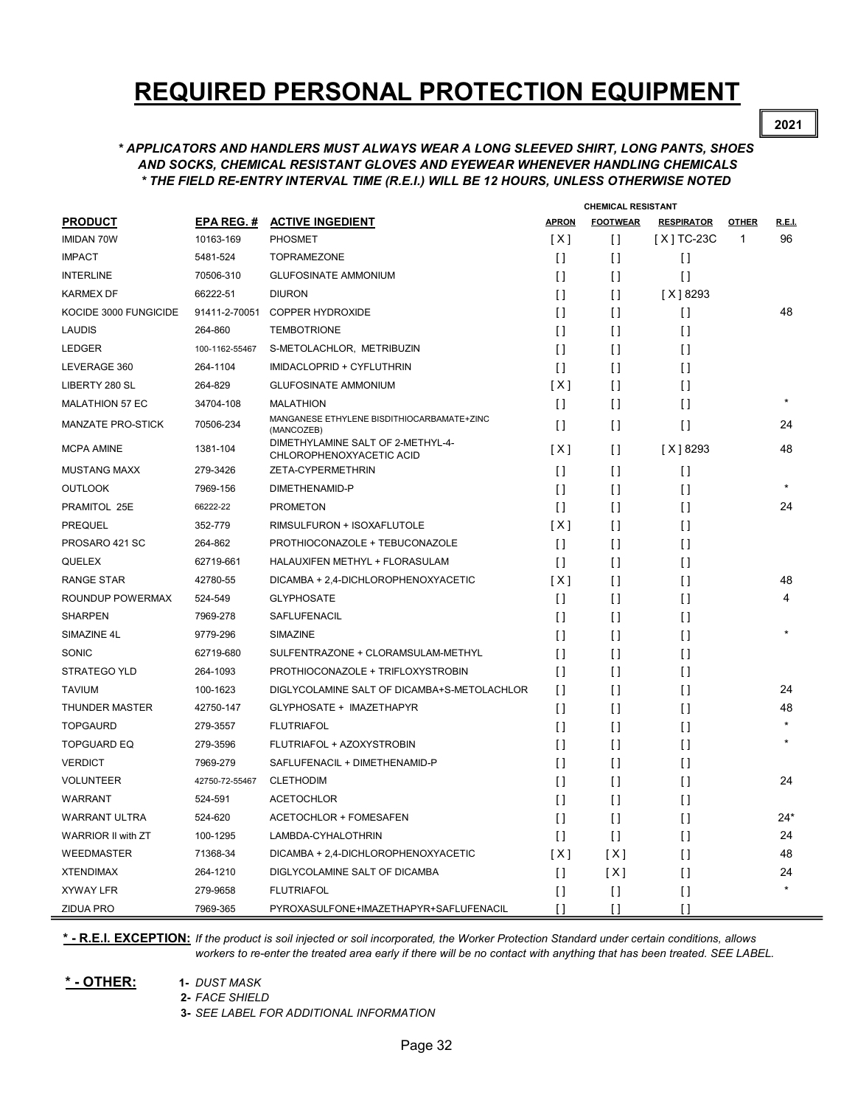## REQUIRED PERSONAL PROTECTION EQUIPMENT

### \* APPLICATORS AND HANDLERS MUST ALWAYS WEAR A LONG SLEEVED SHIRT, LONG PANTS, SHOES AND SOCKS, CHEMICAL RESISTANT GLOVES AND EYEWEAR WHENEVER HANDLING CHEMICALS \* THE FIELD RE-ENTRY INTERVAL TIME (R.E.I.) WILL BE 12 HOURS, UNLESS OTHERWISE NOTED MIRT, LONG PANTS, SHOES<br>R HANDLING CHEMICALS<br>ESS OTHERWISE NOTED<br>CHEMICAL RESISTANT

|                        |                  |                                                               | <b>CHEMICAL RESISTANT</b>              |                      |                      |              |               |  |
|------------------------|------------------|---------------------------------------------------------------|----------------------------------------|----------------------|----------------------|--------------|---------------|--|
| <b>PRODUCT</b>         | <b>EPA REG.#</b> | <b>ACTIVE INGEDIENT</b>                                       | <b>APRON</b>                           | <b>FOOTWEAR</b>      | <b>RESPIRATOR</b>    | <b>OTHER</b> | <b>R.E.I.</b> |  |
| <b>IMIDAN 70W</b>      | 10163-169        | <b>PHOSMET</b>                                                | [X]                                    | $\mathfrak l$        | [ X ] TC-23C         | 1            | 96            |  |
| <b>IMPACT</b>          | 5481-524         | <b>TOPRAMEZONE</b>                                            | $\lceil$                               | $\left[ \ \right]$   | $\lceil$             |              |               |  |
| <b>INTERLINE</b>       | 70506-310        | <b>GLUFOSINATE AMMONIUM</b>                                   | $[ \ ]$                                | $\lbrack \, \rbrack$ | $[ \ ]$              |              |               |  |
| <b>KARMEX DF</b>       | 66222-51         | <b>DIURON</b>                                                 | $\mathfrak{g}$                         | $\Box$               | $[X]$ 8293           |              |               |  |
| KOCIDE 3000 FUNGICIDE  | 91411-2-70051    | <b>COPPER HYDROXIDE</b>                                       | $[ \ ]$                                | $\Box$               | $\mathfrak l$        |              | 48            |  |
| <b>LAUDIS</b>          | 264-860          | <b>TEMBOTRIONE</b>                                            | $\lbrack$                              | $\lbrack \, \rbrack$ | $\lbrack \, \rbrack$ |              |               |  |
| <b>LEDGER</b>          | 100-1162-55467   | S-METOLACHLOR, METRIBUZIN                                     | $\Box$                                 | $\Box$               | $[ \ ]$              |              |               |  |
| LEVERAGE 360           | 264-1104         | IMIDACLOPRID + CYFLUTHRIN                                     | $\lceil$                               | $\lceil$             | $\Box$               |              |               |  |
| LIBERTY 280 SL         | 264-829          | <b>GLUFOSINATE AMMONIUM</b>                                   | [X]                                    | $\mathfrak{g}$       | $\lbrack \, \rbrack$ |              |               |  |
| <b>MALATHION 57 EC</b> | 34704-108        | <b>MALATHION</b>                                              | $\Box$                                 | $\Box$               | $\mathfrak{g}$       |              | $\star$       |  |
| MANZATE PRO-STICK      | 70506-234        | MANGANESE ETHYLENE BISDITHIOCARBAMATE+ZINC<br>(MANCOZEB)      | $\lceil$                               | $\Box$               | $\Box$               |              | 24            |  |
| <b>MCPA AMINE</b>      | 1381-104         | DIMETHYLAMINE SALT OF 2-METHYL-4-<br>CHLOROPHENOXYACETIC ACID | [X]                                    | $\Box$               | $[X]$ 8293           |              | 48            |  |
| <b>MUSTANG MAXX</b>    | 279-3426         | ZETA-CYPERMETHRIN                                             | $[ \ ]$                                | $\mathfrak l$ ]      | $\mathfrak{g}$       |              |               |  |
| <b>OUTLOOK</b>         | 7969-156         | <b>DIMETHENAMID-P</b>                                         | $\Box$                                 | $\Box$               | $[ \ ]$              |              |               |  |
| PRAMITOL 25E           | 66222-22         | <b>PROMETON</b>                                               | $\left[ \right]$                       | $\left[ \ \right]$   | $[ \ ]$              |              | 24            |  |
| <b>PREQUEL</b>         | 352-779          | RIMSULFURON + ISOXAFLUTOLE                                    | [X]                                    | $\left[ \ \right]$   | $\lceil$             |              |               |  |
| PROSARO 421 SC         | 264-862          | PROTHIOCONAZOLE + TEBUCONAZOLE                                | $\Box$                                 | $\Box$               | $\Box$               |              |               |  |
| QUELEX                 | 62719-661        | HALAUXIFEN METHYL + FLORASULAM                                | $\begin{array}{c} \square \end{array}$ | $\lbrack \, \rbrack$ | $\lbrack \, \rbrack$ |              |               |  |
| <b>RANGE STAR</b>      | 42780-55         | DICAMBA + 2,4-DICHLOROPHENOXYACETIC                           | [X]                                    | $\Box$               | $\mathfrak{g}$       |              | 48            |  |
| ROUNDUP POWERMAX       | 524-549          | <b>GLYPHOSATE</b>                                             | $\lbrack$                              | $\mathfrak{g}$       | $\lbrack \, \rbrack$ |              | 4             |  |
| <b>SHARPEN</b>         | 7969-278         | SAFLUFENACIL                                                  | $\mathfrak{g}$                         | $\mathfrak l$        | $\mathfrak{g}$       |              |               |  |
| SIMAZINE 4L            | 9779-296         | SIMAZINE                                                      | $\Box$                                 | $\Box$               | $\Box$               |              |               |  |
| SONIC                  | 62719-680        | SULFENTRAZONE + CLORAMSULAM-METHYL                            | $\lbrack$                              | $\mathfrak{g}$       | $\lbrack \, \rbrack$ |              |               |  |
| STRATEGO YLD           | 264-1093         | PROTHIOCONAZOLE + TRIFLOXYSTROBIN                             | $\mathfrak{g}$                         | $\mathfrak l$        | $[ \ ]$              |              |               |  |
| <b>TAVIUM</b>          | 100-1623         | DIGLYCOLAMINE SALT OF DICAMBA+S-METOLACHLOR                   | $\lceil$                               | $\Box$               | $\Box$               |              | 24            |  |
| <b>THUNDER MASTER</b>  | 42750-147        | GLYPHOSATE + IMAZETHAPYR                                      | $\lbrack$                              | $\mathfrak{g}$       | $[ \ ]$              |              | 48            |  |
| <b>TOPGAURD</b>        | 279-3557         | <b>FLUTRIAFOL</b>                                             | $\left[ \right]$                       | $\Box$               | $[ \ ]$              |              |               |  |
| <b>TOPGUARD EQ</b>     | 279-3596         | FLUTRIAFOL + AZOXYSTROBIN                                     | $\Box$                                 | $\Box$               | $\Box$               |              |               |  |
| <b>VERDICT</b>         | 7969-279         | SAFLUFENACIL + DIMETHENAMID-P                                 | $\mathfrak{g}$                         | $\mathfrak{g}$       | $\lbrack \, \rbrack$ |              |               |  |
| <b>VOLUNTEER</b>       | 42750-72-55467   | <b>CLETHODIM</b>                                              | $\mathfrak{g}$                         | $\mathfrak l$ ]      | $[ \ ]$              |              | 24            |  |
| <b>WARRANT</b>         | 524-591          | <b>ACETOCHLOR</b>                                             | $\Box$                                 | $\Box$               | $\Box$               |              |               |  |
| <b>WARRANT ULTRA</b>   | 524-620          | ACETOCHLOR + FOMESAFEN                                        | $\lbrack$                              | $\left[ \ \right]$   | $[ \ ]$              |              | $24*$         |  |
| WARRIOR II with ZT     | 100-1295         | LAMBDA-CYHALOTHRIN                                            | $\Box$                                 | $\Box$               | $\Box$               |              | 24            |  |
| WEEDMASTER             | 71368-34         | DICAMBA + 2,4-DICHLOROPHENOXYACETIC                           | [X]                                    | [X]                  | $\Box$               |              | 48            |  |
| <b>XTENDIMAX</b>       | 264-1210         | DIGLYCOLAMINE SALT OF DICAMBA                                 | $[ \ ]$                                | [X]                  | $\lbrack \, \rbrack$ |              | 24            |  |
| XYWAY LFR              | 279-9658         | <b>FLUTRIAFOL</b>                                             | $\mathfrak{g}$                         | $\lceil$             | $\left[ \ \right]$   |              |               |  |
| <b>ZIDUA PRO</b>       | 7969-365         | PYROXASULFONE+IMAZETHAPYR+SAFLUFENACIL                        | [ ]                                    | $\lceil$ $\rceil$    | $\lceil$             |              |               |  |

\* - R.E.I. EXCEPTION: If the product is soil injected or soil incorporated, the Worker Protection Standard under certain conditions, allows workers to re-enter the treated area early if there will be no contact with anything that has been treated. SEE LABEL.

\* - OTHER: 1- DUST MASK

2- FACE SHIELD

3- SEE LABEL FOR ADDITIONAL INFORMATION